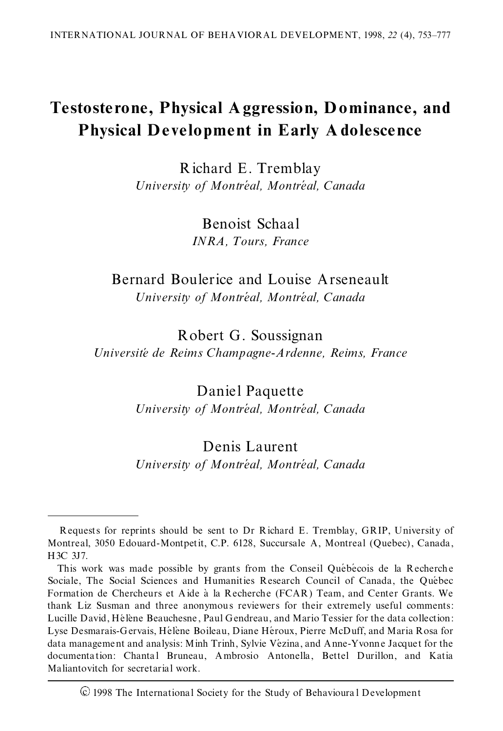# **Testosterone, Physical A ggression, D ominance, and Physical D evelopment in Early A dolescence**

Richard E. Tremblay *University of MontreÂal, MontreÂal, Canada*

> Benoist Schaal *INRA , Tours, France*

### Bernard Boulerice and Louise Arseneault *University of MontreÂal, MontreÂal, Canada*

Robert G. Soussignan *UniversiteÂde Reims Champagne-A rdenne, Reims, France*

> Daniel Paquette *University of MontreÂal, MontreÂal, Canada*

## Denis Laurent

*University of MontreÂal, MontreÂal, Canada*

Requests for reprints should be sent to Dr Richard E. Tremblay, GRIP, University of Montreal, 3050 Edouard-Montpetit, C.P. 6128, Succursale A, Montreal (Quebec), Canada , H3C 3J7.

This work was made possible by grants from the Conseil Québécois de la Recherche Sociale, The Social Sciences and Humanities Research Council of Canada, the Québec Formation de Chercheurs et Aide à la Recherche (FCAR) Team, and Center Grants. We thank Liz Susman and three anonymous reviewers for their extremely useful comments: Lucille David, Hélène Beauchesne, Paul Gendreau, and Mario Tessier for the data collection: Lyse Desmarais-Gervais, Hélène Boileau, Diane Héroux, Pierre McDuff, and Maria Rosa for data management and analysis: Minh Trinh, Sylvie Vézina, and Anne-Yvonne Jacquet for the documenta tion: Chantal Bruneau, Ambrosio Antonella , Bettel Durillon, and Katia Maliantovitch for secretarial work.

c 1998 The International Society for the Study of Behavioura l Developmen t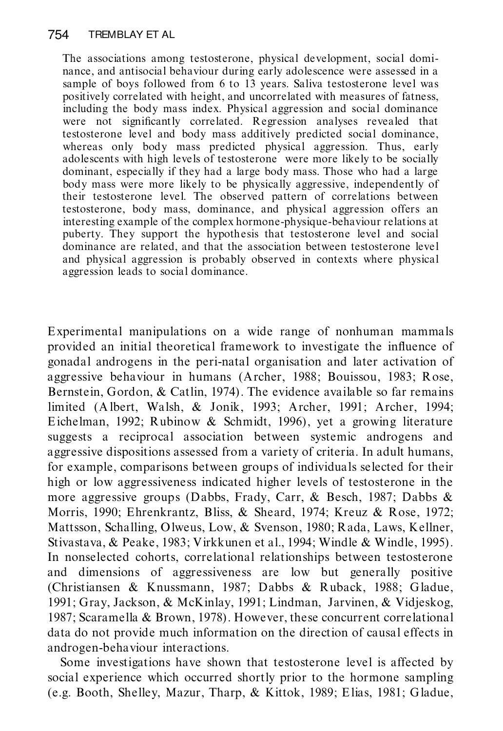The associations among testosterone, physical development, social domi nance, and antisocial behaviour during early adolescence were assessed in a sample of boys followed from 6 to 13 years. Saliva testosterone level was positively correlated with height, and uncorrelated with measures of fatness, including the body mass index. Physical aggression and social dominance were not significantly correlated. Regression analyses revealed that testosterone level and body mass additively predicted social dominance, whereas only body mass predicted physical aggression. Thus, early adolescents with high levels of testosterone were more likely to be socially dominant, especially if they had a large body mass. Those who had a large body mass were more likely to be physically aggressive, independently of their testosterone level. The observed pattern of correlations between testosterone, body mass, dominance, and physical aggression offers an interesting example of the complex hormone-physique-behaviour relations at puberty. They support the hypothesis that testosterone level and social dominance are related, and that the association between testosterone level and physical aggression is probably observed in contexts where physical aggression leads to social dominance.

Experimental manipulations on a wide range of nonhuman mammals provided an initial theoretical framework to investigate the influence of gonadal androgens in the peri-natal organisation and later activation of aggressive behaviour in humans (Archer, 1988; Bouissou, 1983; Rose, Bernstein, Gordon, & Catlin, 1974). The evidence available so far remains limited (Albert, Walsh, & Jonik, 1993; Archer, 1991; Archer, 1994; Eichelman, 1992; Rubinow & Schmidt, 1996), yet a growing literature suggests a reciprocal association between systemic androgens and aggressive dispositions assessed from a variety of criteria. In adult humans, for example, comparisons between groups of individuals selected for their high or low aggressiveness indicated higher levels of testosterone in the more aggressive groups (Dabbs, Frady, Carr, & Besch, 1987; Dabbs & Morris, 1990; Ehrenkrantz, Bliss, & Sheard, 1974; Kreuz & Rose, 1972; Mattsson, Schalling, Olweus, Low, & Svenson, 1980; Rada, Laws, Kellner, Stivastava, & Peake, 1983; Virkkunen et al., 1994; Windle & Windle, 1995). In nonselected cohorts, correlational relationships between testosterone and dimensions of aggressiveness are low but generally positive (Christiansen & Knussmann, 1987; Dabbs & Ruback, 1988; Gladue, 1991; Gray, Jackson, & McKinlay, 1991; Lindman, Jarvinen, & Vidjeskog, 1987; Scaramella & Brown, 1978). However, these concurrent correlational data do not provide much information on the direction of causal effects in androgen-behaviour interactions.

Some investigations have shown that testosterone level is affected by social experience which occurred shortly prior to the hormone sampling (e.g. Booth, Shelley, Mazur, Tharp, & Kittok, 1989; Elias, 1981; Gladue,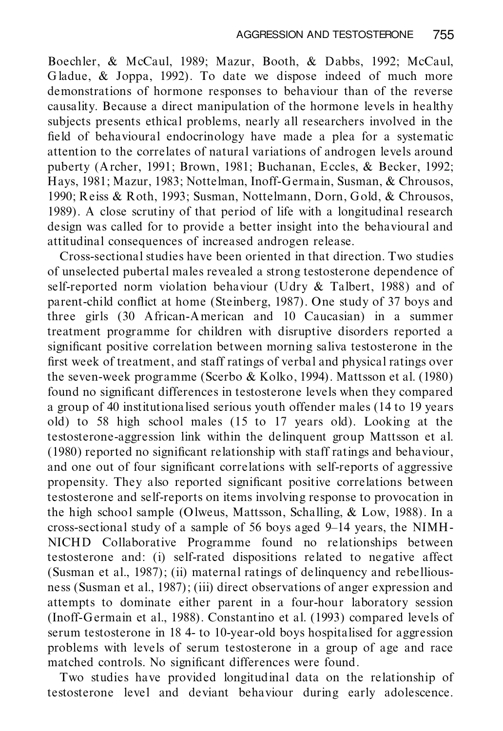Boechler, & McCaul, 1989; Mazur, Booth, & Dabbs, 1992; McCaul, Gladue, & Joppa, 1992). To date we dispose indeed of much more demonstrations of hormone responses to behaviour than of the reverse causality. Because a direct manipulation of the hormone levels in healthy subjects presents ethical problems, nearly all researchers involved in the field of behavioural endocrinology have made a plea for a systematic attention to the correlates of natural variations of androgen levels around puberty (Archer, 1991; Brown, 1981; Buchanan, Eccles, & Becker, 1992; Hays, 1981; Mazur, 1983; Nottelman, Inoff-Germain, Susman, & Chrousos, 1990; Reiss & Roth, 1993; Susman, Nottelmann, Dorn, Gold, & Chrousos, 1989). A close scrutiny of that period of life with a longitudinal research design was called for to provide a better insight into the behavioural and attitudinal consequences of increased androgen release.

Cross-sectional studies have been oriented in that direction. Two studies of unselected pubertal males revealed a strong testosterone dependence of self-reported norm violation behaviour (Udry & Talbert, 1988) and of parent-child conflict at home (Steinberg, 1987). One study of 37 boys and three girls (30 African-American and 10 Caucasian) in a summer treatment programme for children with disruptive disorders reported a significant positive correlation between morning saliva testosterone in the first week of treatment, and staff ratings of verbal and physical ratings over the seven-week programme (Scerbo & Kolko, 1994). Mattsson et al. (1980) found no significant differences in testosterone levels when they compared a group of 40 institutionalised serious youth offender males (14 to 19 years old) to 58 high school males (15 to 17 years old). Looking at the testosterone-aggression link within the delinquent group Mattsson et al.  $(1980)$  reported no significant relationship with staff ratings and behaviour, and one out of four significant correlations with self-reports of aggressive propensity. They also reported significant positive correlations between testosterone and self-reports on items involving response to provocation in the high school sample (Olweus, Mattsson, Schalling, & Low, 1988). In a cross-sectional study of a sample of 56 boys aged 9-14 years, the NIMH-NICHD Collaborative Programme found no relationships between testosterone and: (i) self-rated dispositions related to negative affect (Susman et al., 1987); (ii) maternal ratings of delinquency and rebellious ness (Susman et al., 1987); (iii) direct observations of anger expression and attempts to dominate either parent in a four-hour laboratory session (Inoff-Germain et al., 1988). Constantino et al. (1993) compared levels of serum testosterone in 18 4- to 10-year-old boys hospitalised for aggression problems with levels of serum testosterone in a group of age and race matched controls. No significant differences were found.

Two studies have provided longitudinal data on the relationship of testosterone level and deviant behaviour during early adolescence.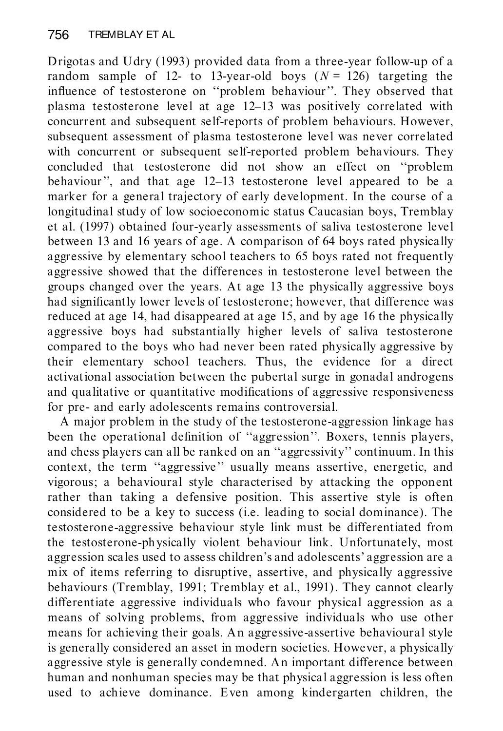Drigotas and Udry (1993) provided data from a three-year follow-up of a random sample of 12- to 13-year-old boys  $(N = 126)$  targeting the influence of testosterone on "problem behaviour". They observed that plasma testosterone level at age  $12-13$  was positively correlated with concurrent and subsequent self-reports of problem behaviours. However, subsequent assessment of plasma testosterone level was never correlated with concurrent or subsequent self-reported problem behaviours. They concluded that testosterone did not show an effect on "problem" behaviour", and that age  $12-13$  testosterone level appeared to be a marker for a general trajectory of early development. In the course of a longitudinal study of low socioeconomic status Caucasian boys, Tremblay et al. (1997) obtained four-yearly assessments of saliva testosterone level between 13 and 16 years of age. A comparison of 64 boys rated physically aggressive by elementary school teachers to 65 boys rated not frequently aggressive showed that the differences in testosterone level between the groups changed over the years. At age 13 the physically aggressive boys had significantly lower levels of testosterone; however, that difference was reduced at age 14, had disappeared at age 15, and by age 16 the physically aggressive boys had substantially higher levels of saliva testosterone compared to the boys who had never been rated physically aggressive by their elementary school teachers. Thus, the evidence for a direct activational association between the pubertal surge in gonadal androgens and qualitative or quantitative modifications of aggressive responsiveness for pre- and early adolescents remains controversial.

A major problem in the study of the testosterone-aggression linkage has been the operational definition of "aggression". Boxers, tennis players, and chess players can all be ranked on an "aggressivity" continuum. In this context, the term "aggressive" usually means assertive, energetic, and vigorous; a behavioural style characterised by attacking the opponent rather than taking a defensive position. This assertive style is often considered to be a key to success (i.e. leading to social dominance). The testosterone-aggressive behaviour style link must be differentiated from the testosterone-physically violent behaviour link. Unfortunately, most aggression scales used to assess children's and adolescents' aggression are a mix of items referring to disruptive, assertive, and physically aggressive behaviours (Tremblay, 1991; Tremblay et al., 1991). They cannot clearly differentiate aggressive individuals who favour physical aggression as a means of solving problems, from aggressive individuals who use other means for achieving their goals. An aggressive-assertive behavioural style is generally considered an asset in modern societies. However, a physically aggressive style is generally condemned. An important difference between human and nonhuman species may be that physical aggression is less often used to achieve dominance. Even among kindergarten children, the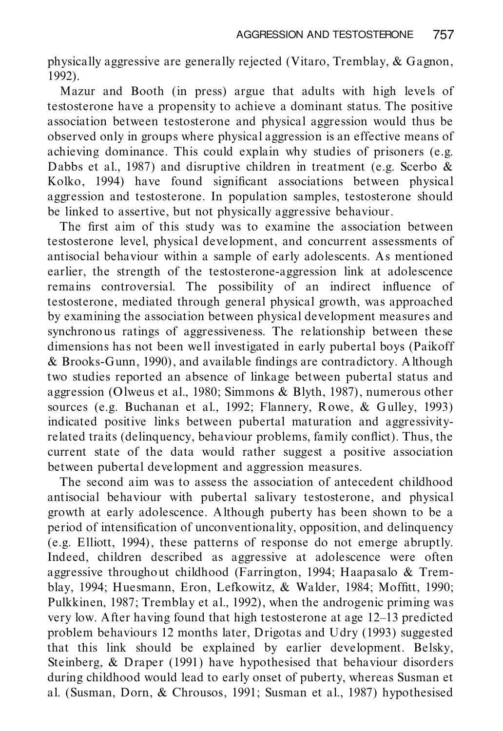physically aggressive are generally rejected (Vitaro, Tremblay, & Gagnon, 1992).

Mazur and Booth (in press) argue that adults with high levels of testosterone have a propensity to achieve a dominant status. The positive association between testosterone and physical aggression would thus be observed only in groups where physical aggression is an effective means of achieving dominance. This could explain why studies of prisoners (e.g. Dabbs et al., 1987) and disruptive children in treatment (e.g. Scerbo & Kolko, 1994) have found significant associations between physical aggression and testosterone. In population samples, testosterone should be linked to assertive, but not physically aggressive behaviour.

The first aim of this study was to examine the association between testosterone level, physical development, and concurrent assessments of antisocial behaviour within a sample of early adolescents. As mentioned earlier, the strength of the testosterone-aggression link at adolescence remains controversial. The possibility of an indirect influence of testosterone, mediated through general physical growth, was approached by examining the association between physical development measures and synchrono us ratings of aggressiveness. The relationship between these dimensions has not been well investigated in early pubertal boys (Paikoff  $& Brooks-Gunn, 1990)$ , and available findings are contradictory. Although two studies reported an absence of linkage between pubertal status and aggression (Olweus et al., 1980; Simmons & Blyth, 1987), numerous other sources (e.g. Buchanan et al., 1992; Flannery, Rowe, & Gulley, 1993) indicated positive links between pubertal maturation and aggressivityrelated traits (delinquency, behaviour problems, family conflict). Thus, the current state of the data would rather suggest a positive association between pubertal development and aggression measures.

The second aim was to assess the association of antecedent childhood antisocial behaviour with pubertal salivary testosterone, and physical growth at early adolescence. Although puberty has been shown to be a period of intensification of unconventionality, opposition, and delinquency (e.g. Elliott, 1994), these patterns of response do not emerge abruptly. Indeed, children described as aggressive at adolescence were often aggressive througho ut childhood (Farrington, 1994; Haapasalo & Trem blay, 1994; Huesmann, Eron, Lefkowitz, & Walder, 1984; Moffitt, 1990; Pulkkinen, 1987; Tremblay et al., 1992), when the androgenic priming was very low. After having found that high testosterone at age 12–13 predicted problem behaviours 12 months later, Drigotas and Udry (1993) suggested that this link should be explained by earlier development. Belsky, Steinberg, & Draper (1991) have hypothesised that behaviour disorders during childhood would lead to early onset of puberty, whereas Susman et al. (Susman, Dorn, & Chrousos, 1991; Susman et al., 1987) hypothesised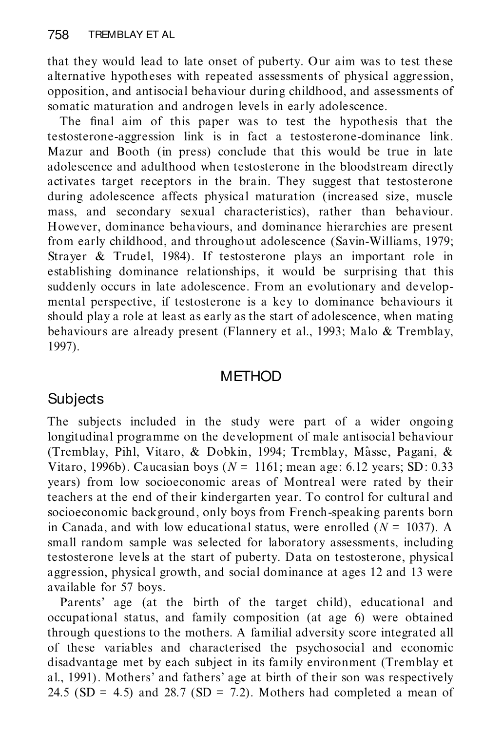that they would lead to late onset of puberty. Our aim was to test these alternative hypotheses with repeated assessments of physical aggression, opposition, and antisocial behaviour during childhood, and assessments of somatic maturation and androgen levels in early adolescence.

The final aim of this paper was to test the hypothesis that the testosterone-aggression link is in fact a testosterone-dominance link. Mazur and Booth (in press) conclude that this would be true in late adolescence and adulthood when testosterone in the bloodstream directly activates target receptors in the brain. They suggest that testosterone during adolescence affects physical maturation (increased size, muscle mass, and secondary sexual characteristics), rather than behaviour. However, dominance behaviours, and dominance hierarchies are present from early childhood, and througho ut adolescence (Savin-Williams, 1979; Strayer & Trudel, 1984). If testosterone plays an important role in establishing dominance relationships, it would be surprising that this suddenly occurs in late adolescence. From an evolutionary and develop mental perspective, if testosterone is a key to dominance behaviours it should play a role at least as early as the start of adolescence, when mating behaviours are already present (Flannery et al., 1993; Malo & Tremblay, 1997).

#### METHOD

## **Subjects**

The subjects included in the study were part of a wider ongoing longitudinal programme on the development of male antisocial behaviour (Tremblay, Pihl, Vitaro, & Dobkin, 1994; Tremblay, Mâsse, Pagani, & Vitaro, 1996b). Caucasian boys (*N* = 1161; mean age: 6.12 years; SD: 0.33 years) from low socioeconomic areas of Montreal were rated by their teachers at the end of their kindergarten year. To control for cultural and socioeconomic background, only boys from French-speaking parents born in Canada, and with low educational status, were enrolled  $(N = 1037)$ . A small random sample was selected for laboratory assessments, including testosterone levels at the start of puberty. Data on testosterone, physical aggression, physical growth, and social dominance at ages 12 and 13 were available for 57 boys.

Parents' age (at the birth of the target child), educational and occupational status, and family composition (at age 6) were obtained through questions to the mothers. A familial adversity score integrated all of these variables and characterised the psychosocial and economic disadvantage met by each subject in its family environment (Tremblay et al., 1991). Mothers' and fathers' age at birth of their son was respectively 24.5 (SD = 4.5) and 28.7 (SD = 7.2). Mothers had completed a mean of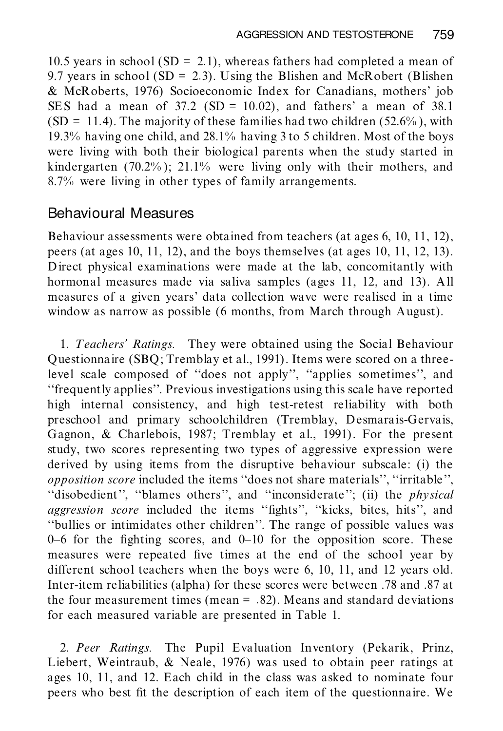10.5 years in school ( $SD = 2.1$ ), whereas fathers had completed a mean of 9.7 years in school (SD = 2.3). Using the Blishen and McRobert (Blishen & McRoberts, 1976) Socioeconomic Index for Canadians, mothers' job SES had a mean of  $37.2$  (SD = 10.02), and fathers' a mean of  $38.1$ (SD = 11.4). The majority of these families had two children  $(52.6\%)$ , with 19.3% having one child, and 28.1% having 3 to 5 children. Most of the boys were living with both their biological parents when the study started in kindergarten (70.2%); 21.1% were living only with their mothers, and 8.7% were living in other types of family arrangements.

## Behavioural Measures

Behaviour assessments were obtained from teachers (at ages 6, 10, 11, 12), peers (at ages 10, 11, 12), and the boys themselves (at ages 10, 11, 12, 13). Direct physical examinations were made at the lab, concomitantly with hormonal measures made via saliva samples (ages 11, 12, and 13). All measures of a given years' data collection wave were realised in a time window as narrow as possible (6 months, from March through August).

1. *Teachers' Ratings.* They were obtained using the Social Behaviour Questionnaire (SBQ; Tremblay et al., 1991). Items were scored on a threelevel scale composed of "does not apply", "applies sometimes", and "frequently applies". Previous investigations using this scale have reported high internal consistency, and high test-retest reliability with both preschool and primary schoolchildren (Tremblay, Desmarais-Gervais, Gagnon, & Charlebois, 1987; Tremblay et al., 1991). For the present study, two scores representing two types of aggressive expression were derived by using items from the disruptive behaviour subscale: (i) the *opposition score* included the items "does not share materials", "irritable", "disobedient", "blames others", and "inconsiderate"; (ii) the *physical aggression score* included the items "fights", "kicks, bites, hits", and ``bullies or intimidates other children' '. The range of possible values was  $0-6$  for the fighting scores, and  $0-10$  for the opposition score. These measures were repeated five times at the end of the school year by different school teachers when the boys were 6, 10, 11, and 12 years old. Inter-item reliabilities (alpha) for these scores were between .78 and .87 at the four measurement times (mean = .82). Means and standard deviations for each measured variable are presented in Table 1.

2. *Peer Ratings.* The Pupil Evaluation Inventory (Pekarik, Prinz, Liebert, Weintraub, & Neale, 1976) was used to obtain peer ratings at ages 10, 11, and 12. Each child in the class was asked to nominate four peers who best fit the description of each item of the questionnaire. We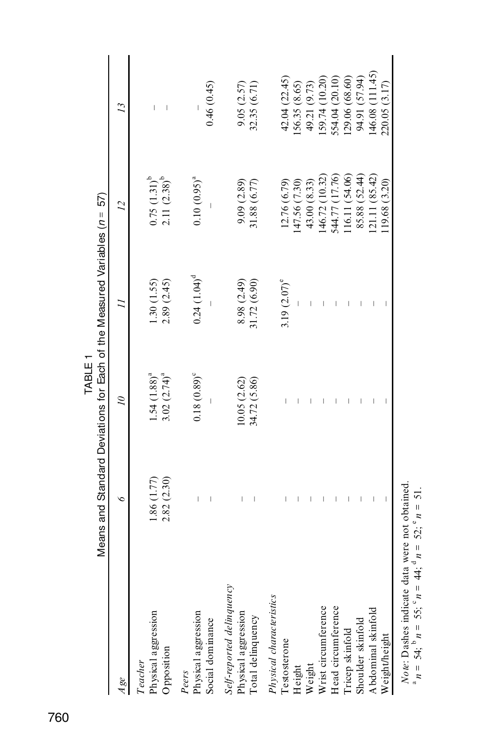|                                                                       | Means and Standard Deviations for Each of the Measured Variables (n = 57) | TABLE <sub>1</sub>                    |                             |                                      |                            |
|-----------------------------------------------------------------------|---------------------------------------------------------------------------|---------------------------------------|-----------------------------|--------------------------------------|----------------------------|
| $\overline{4ge}$                                                      | $\circ$                                                                   | $\overline{\mathcal{L}}$              |                             | $\overline{2}$                       | 13                         |
| Physical aggression<br>Opposition<br>Teacher                          | 2.82(2.30)<br>1.86 (1.77)                                                 | $3.02 (2.74)^{a}$<br>$1.54(1.88)^{a}$ | 1.30(1.55)<br>2.89 (2.45)   | $0.75$ $(1.31)^b$<br>2.11 $(2.38)^b$ | Ï                          |
| Physical aggression<br>Social dominance<br>Peers                      |                                                                           | $0.18(0.89)^c$                        | $0.24$ $(1.04)^d$           | $0.10(0.95)^{a}$                     | 0.46(0.45)                 |
| Self-reported delinquency<br>Physical aggression<br>Total delinquency |                                                                           | 34.72 (5.86)<br>(0.05(2.62)           | 31.72 (6.90)<br>8.98 (2.49) | 9.09 (2.89)<br>31.88 (6.77)          | 9.05(2.57)<br>32.35 (6.71) |
| Physical characteristics<br>Testosterone                              |                                                                           |                                       | $3.19 (2.07)$ <sup>e</sup>  | 12.76 (6.79)                         | 42.04 (22.45)              |
| Height                                                                |                                                                           |                                       |                             | 47.56 (7.30)                         | 56.35 (8.65)               |
| Weight                                                                |                                                                           |                                       |                             | 43.00 (8.33)                         | 49.21 (9.73)               |
| Wrist circumference                                                   |                                                                           |                                       |                             | 46.72 (10.32)                        | 59.74 (10.20)              |
| Head circumference                                                    |                                                                           |                                       |                             | 544.77 (17.76)                       | 554.04 (20.10)             |
| Tricep skinfold                                                       |                                                                           |                                       |                             | 16.11 (54.06)                        | 29.06 (68.60)              |
| Shoulder skinfold                                                     |                                                                           |                                       |                             | 85.88 (52.44)                        | 94.91 (57.94)              |
| Abdominal skinfold                                                    |                                                                           |                                       |                             | (21.11(85.42))                       | 46.08 (111.45)             |
| Weight/height                                                         |                                                                           |                                       |                             | 19.68 (3.20)                         | 220.05 (3.17)              |
| Note: Dashes indicate data were not obtained                          |                                                                           |                                       |                             |                                      |                            |

*Note*: Dashes indicate data were not obtained.<br><sup>a</sup> $n = 54$ ,  $\overset{b}{n} = 55$ ,  $\overset{c}{n} = 44$ ,  $\overset{d}{n} = 52$ ,  $\overset{e}{n} = 51$ . *Note:* Dashes indicate data were not obtained.<br><sup>a</sup> $n = 54$ ;  $n = 55$ ;  $n = 44$ ;  $n = 52$ ;  $n = 51$ .  $n = 54$ ;  $n = 55$ ;  $n = 44$ ;  $n = 52$ ;  $n = 51$ .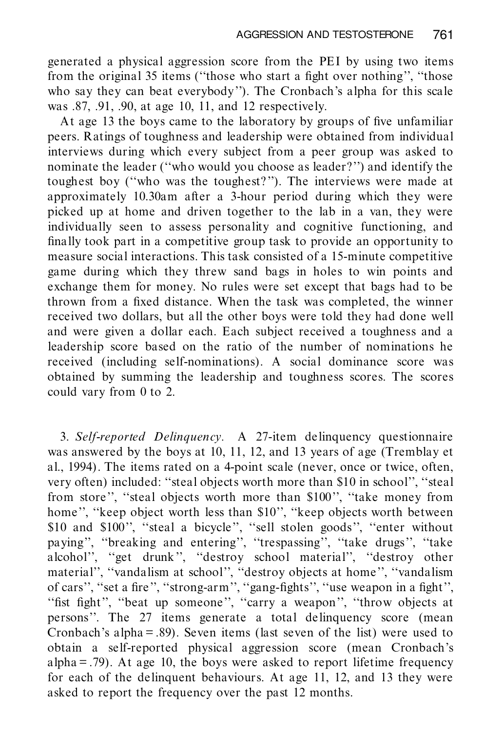generated a physical aggression score from the PEI by using two items from the original 35 items ("those who start a fight over nothing", "those who say they can beat everybody"). The Cronbach's alpha for this scale was .87, .91, .90, at age 10, 11, and 12 respectively.

At age 13 the boys came to the laboratory by groups of five unfamiliar peers. Ratings of toughness and leadership were obtained from individual interviews during which every subject from a peer group was asked to nominate the leader ("who would you choose as leader?") and identify the toughest boy ("who was the toughest?"). The interviews were made at approximately 10.30am after a 3-hour period during which they were picked up at home and driven together to the lab in a van, they were individually seen to assess personality and cognitive functioning, and finally took part in a competitive group task to provide an opportunity to measure social interactions. This task consisted of a 15-minute competitive game during which they threw sand bags in holes to win points and exchange them for money. No rules were set except that bags had to be thrown from a fixed distance. When the task was completed, the winner received two dollars, but all the other boys were told they had done well and were given a dollar each. Each subject received a toughness and a leadership score based on the ratio of the number of nominations he received (including self-nominations). A social dominance score was obtained by summing the leadership and toughness scores. The scores could vary from 0 to 2.

3. *Self-reported Delinquency.* A 27-item delinquency questionnaire was answered by the boys at 10, 11, 12, and 13 years of age (Tremblay et al., 1994). The items rated on a 4-point scale (never, once or twice, often, very often) included: "steal objects worth more than \$10 in school", "steal from store", "steal objects worth more than \$100", "take money from home", "keep object worth less than \$10", "keep objects worth between \$10 and \$100", "steal a bicycle", "sell stolen goods", "enter without paying", "breaking and entering", "trespassing", "take drugs", "take alcohol", "get drunk", "destroy school material", "destroy other material", "vandalism at school", "destroy objects at home", "vandalism of cars'', "set a fire'', "strong-arm'', "gang-fights'', "use weapon in a fight'', "fist fight", "beat up someone", "carry a weapon", "throw objects at persons". The 27 items generate a total delinquency score (mean Cronbach's alpha = .89). Seven items (last seven of the list) were used to obtain a self-reported physical aggression score (mean Cronbach's alpha  $=$  .79). At age 10, the boys were asked to report lifetime frequency for each of the delinquent behaviours. At age 11, 12, and 13 they were asked to report the frequency over the past 12 months.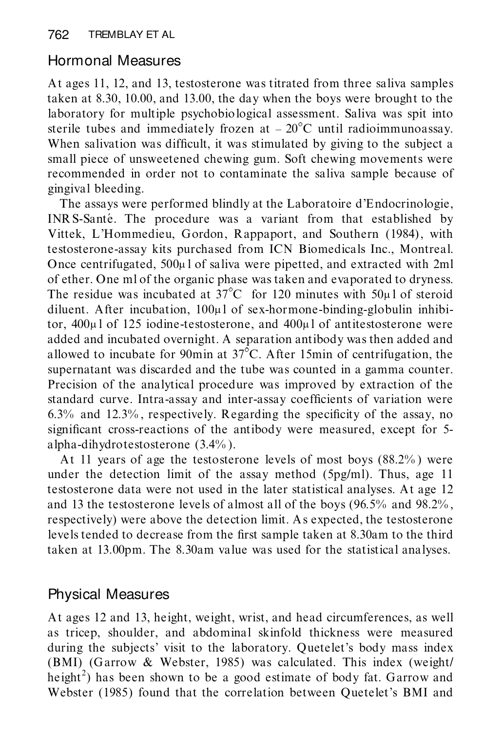## Hormonal Measures

At ages 11, 12, and 13, testosterone was titrated from three saliva samples taken at 8.30, 10.00, and 13.00, the day when the boys were brought to the laboratory for multiple psychobiological assessment. Saliva was spit into sterile tubes and immediately frozen at  $-20^{\circ}$ C until radioimmunoassay. When salivation was difficult, it was stimulated by giving to the subject a small piece of unsweetened chewing gum. Soft chewing movements were recommended in order not to contaminate the saliva sample because of gingival bleeding.

The assays were performed blindly at the Laboratoire d'Endocrinologie, INRS-Santé. The procedure was a variant from that established by Vittek, L'Hommedieu, Gordon, Rappaport, and Southern (1984), with testosterone-assay kits purchased from ICN Biomedicals Inc., Montreal. Once centrifugated,  $500\mu$  l of saliva were pipetted, and extracted with 2ml of ether. One ml of the organic phase was taken and evaporated to dryness. The residue was incubated at  $37^{\circ}$ C for 120 minutes with  $50\mu$ l of steroid diluent. After incubation,  $100\mu$ l of sex-hormone-binding-globulin inhibitor,  $400\mu$ l of 125 iodine-testosterone, and  $400\mu$ l of antitestosterone were added and incubated overnight. A separation antibody was then added and allowed to incubate for 90min at  $37^{\circ}$ C. After 15min of centrifugation, the supernatant was discarded and the tube was counted in a gamma counter. Precision of the analytical procedure was improved by extraction of the standard curve. Intra-assay and inter-assay coefficients of variation were 6.3% and 12.3%, respectively. Regarding the specificity of the assay, no significant cross-reactions of the antibody were measured, except for 5alpha-dihydrotestosterone (3.4% ).

At 11 years of age the testosterone levels of most boys (88.2% ) were under the detection limit of the assay method (5pg/ml). Thus, age 11 testosterone data were not used in the later statistical analyses. At age 12 and 13 the testosterone levels of almost all of the boys (96.5% and 98.2% , respectively) were above the detection limit. As expected, the testosterone levels tended to decrease from the first sample taken at 8.30am to the third taken at 13.00pm. The 8.30am value was used for the statistical analyses.

## Physical Measures

At ages 12 and 13, height, weight, wrist, and head circumferences, as well as tricep, shoulder, and abdominal skinfold thickness were measured during the subjects' visit to the laboratory. Quetelet's body mass index (BMI) (Garrow & Webster, 1985) was calculated. This index (weight/ height<sup>2</sup>) has been shown to be a good estimate of body fat. Garrow and Webster (1985) found that the correlation between Quetelet's BMI and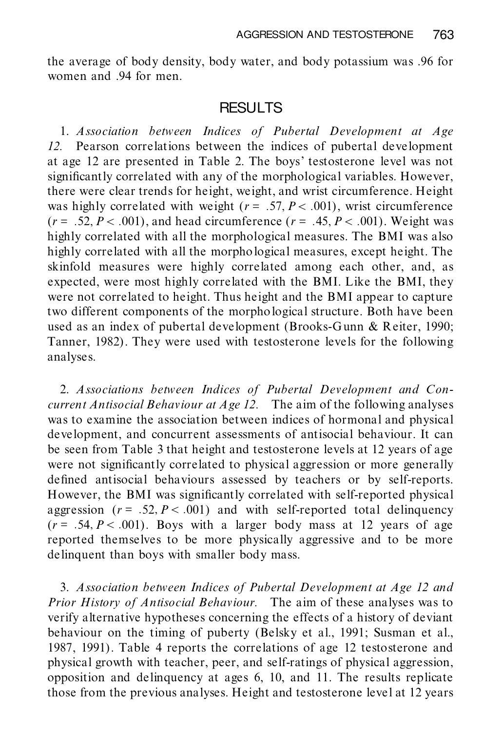the average of body density, body water, and body potassium was .96 for women and .94 for men.

#### **RESULTS**

1. *A ssociation between Indices of Pubertal Development at A ge 12.* Pearson correlations between the indices of pubertal development at age 12 are presented in Table 2. The boys' testosterone level was not significantly correlated with any of the morphological variables. However, there were clear trends for height, weight, and wrist circumference. Height was highly correlated with weight  $(r = .57, P < .001)$ , wrist circumference  $(r = .52, P < .001)$ , and head circumference  $(r = .45, P < .001)$ . Weight was highly correlated with all the morphological measures. The BMI was also highly correlated with all the morphological measures, except height. The skinfold measures were highly correlated among each other, and, as expected, were most highly correlated with the BMI. Like the BMI, they were not correlated to height. Thus height and the BMI appear to capture two different components of the morphological structure. Both have been used as an index of pubertal development (Brooks-Gunn & Reiter, 1990; Tanner, 1982). They were used with testosterone levels for the following analyses.

2. *A ssociations between Indices of Pubertal Development and Con current A ntisocial Behaviour at A ge 12.* The aim of the following analyses was to examine the association between indices of hormonal and physical development, and concurrent assessments of antisocial behaviour. It can be seen from Table 3 that height and testosterone levels at 12 years of age were not significantly correlated to physical aggression or more generally defined antisocial behaviours assessed by teachers or by self-reports. However, the BMI was significantly correlated with self-reported physical aggression  $(r = .52, P < .001)$  and with self-reported total delinquency  $(r = .54, P < .001)$ . Boys with a larger body mass at 12 years of age reported themselves to be more physically aggressive and to be more delinquent than boys with smaller body mass.

3. *A ssociation between Indices of Pubertal Development at A ge 12 and Prior History of A ntisocial Behaviour.* The aim of these analyses was to verify alternative hypotheses concerning the effects of a history of deviant behaviour on the timing of puberty (Belsky et al., 1991; Susman et al., 1987, 1991). Table 4 reports the correlations of age 12 testosterone and physical growth with teacher, peer, and self-ratings of physical aggression, opposition and delinquency at ages 6, 10, and 11. The results replicate those from the previous analyses. Height and testosterone level at 12 years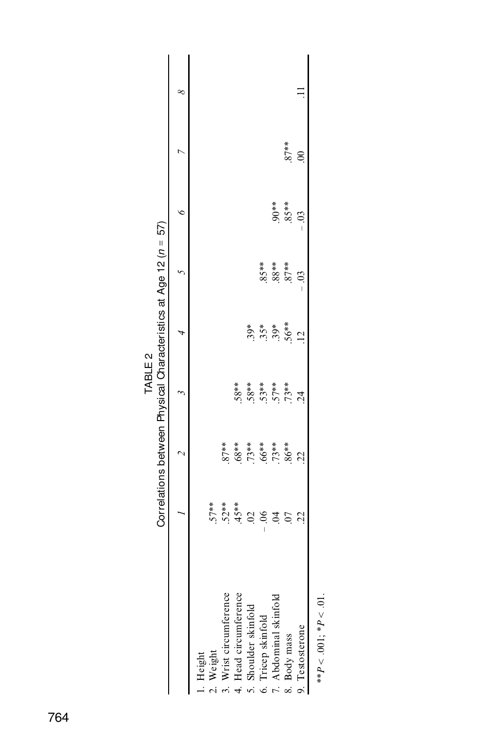|                             |                                     |                                           | Correlations between Physical Characteristics at Age 12 (n = 57) |                          |                                      |         |                |   |
|-----------------------------|-------------------------------------|-------------------------------------------|------------------------------------------------------------------|--------------------------|--------------------------------------|---------|----------------|---|
|                             |                                     |                                           |                                                                  |                          |                                      |         |                | ∝ |
| Heigh                       |                                     |                                           |                                                                  |                          |                                      |         |                |   |
| $2.$ Weight                 |                                     |                                           |                                                                  |                          |                                      |         |                |   |
| 3. Wrist circumference      |                                     |                                           |                                                                  |                          |                                      |         |                |   |
| 4. Head circumference       |                                     |                                           |                                                                  |                          |                                      |         |                |   |
| 5. Shoulder skinfold        | $57 * * *$<br>$52 * * *$<br>$54.02$ | ** 50<br>** 50<br>** 50<br>** 50<br>** 50 | $58**$<br>$58**$<br>$57**$<br>$57**$<br>$57**$<br>$57**$         | $39*$                    |                                      |         |                |   |
| 6. Tricep skinfold          | .06                                 |                                           |                                                                  | $35*$<br>$39*$<br>$56**$ |                                      |         |                |   |
| 7. Abdominal skinfold       | $\ddot{9}$                          |                                           |                                                                  |                          | $85**$<br>$88**$<br>$88**$<br>$88**$ |         |                |   |
| 8. Body mass                | $\overline{0}$ .                    |                                           |                                                                  |                          |                                      | $.85**$ | $.87**$        |   |
| 9. Testosterone             | 22                                  | $\ddot{5}$                                | $\ddot{5}$                                                       | $\overline{12}$          | $\ddot{0}$                           | $-0.03$ | $\overline{0}$ |   |
| ** $P < .001$ ; * $P < .01$ |                                     |                                           |                                                                  |                          |                                      |         |                |   |
|                             |                                     |                                           |                                                                  |                          |                                      |         |                |   |
|                             |                                     |                                           |                                                                  |                          |                                      |         |                |   |

TABLE 2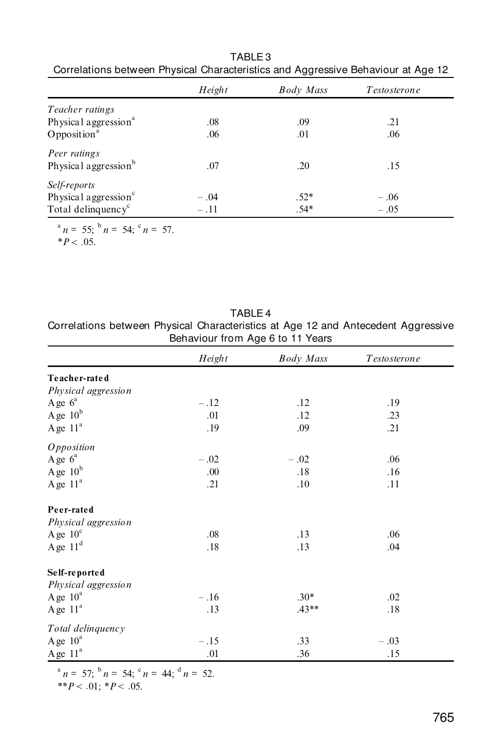|                                                  | Height | <b>Body Mass</b> | <i>Testosterone</i> |
|--------------------------------------------------|--------|------------------|---------------------|
| Teacher ratings                                  |        |                  |                     |
| Physical aggression <sup>a</sup>                 | .08    | .09              | .21                 |
| Opposition <sup>a</sup>                          | .06    | .01              | .06                 |
| Peer ratings<br>Physical aggression <sup>b</sup> | .07    | .20              | .15                 |
| Self-reports                                     |        |                  |                     |
| Physical aggression <sup>c</sup>                 | $-.04$ | $.52*$           | $-.06$              |
| Total delinquency <sup>c</sup>                   | $-.11$ | $.54*$           | $-.05$              |

TABLE 3 Correlations between Physical Characteristics and Aggressive Behaviour at Age 12

 $n = 55$ ;  $n = 54$ ;  $n = 57$ .

 $*P < .05$ 

TABLE 4 Correlations between Physical Characteristics at Age 12 and Antecedent Aggressive Behaviour from Age 6 to 11 Years

|                     | Height | <b>Body Mass</b> | <i>Testosterone</i> |
|---------------------|--------|------------------|---------------------|
| Teacher-rated       |        |                  |                     |
| Physical aggression |        |                  |                     |
| A ge $6^a$          | $-.12$ | $.12\,$          | .19                 |
| A ge $10^b$         | .01    | .12              | .23                 |
| A ge $11a$          | .19    | .09              | .21                 |
| <i>Opposition</i>   |        |                  |                     |
| A ge $6^a$          | $-.02$ | $-.02$           | .06                 |
| A ge $10^b$         | .00.   | .18              | .16                 |
| A ge $11a$          | .21    | .10              | .11                 |
| Peer-rated          |        |                  |                     |
| Physical aggression |        |                  |                     |
| A ge $10^{\circ}$   | .08    | .13              | .06                 |
| A ge $11d$          | .18    | .13              | .04                 |
| Self-reported       |        |                  |                     |
| Physical aggression |        |                  |                     |
| A ge $10^a$         | $-.16$ | $.30*$           | .02                 |
| A ge $11a$          | .13    | $.43**$          | .18                 |
| Total delinquency   |        |                  |                     |
| A ge $10^a$         | $-.15$ | .33              | $-.03$              |
| A ge $11a$          | .01    | .36              | .15                 |

 $n^a n = 57$ ;  $n^b n = 54$ ;  $n^c n = 44$ ;  $n^d n = 52$ .  $*$ *\*P* < .01;  $*$ *P* < .05.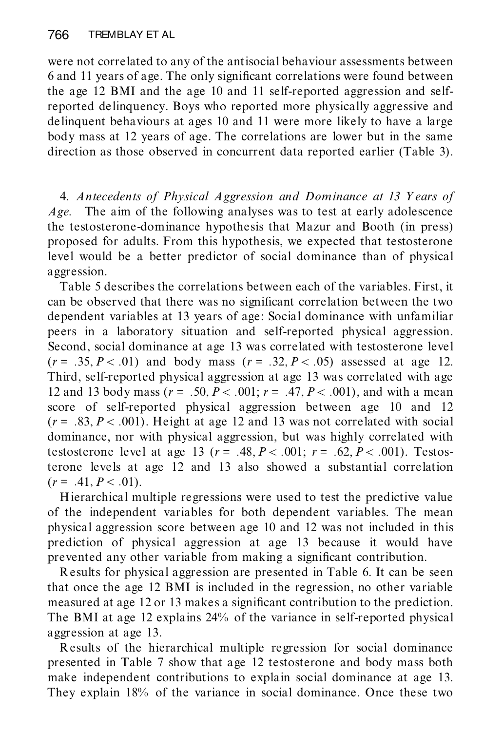were not correlated to any of the antisocial behaviour assessments between 6 and 11 years of age. The only significant correlations were found between the age 12 BMI and the age 10 and 11 self-reported aggression and selfreported delinquency. Boys who reported more physically aggressive and delinquent behaviours at ages 10 and 11 were more likely to have a large body mass at 12 years of age. The correlations are lower but in the same direction as those observed in concurrent data reported earlier (Table 3).

4. *A ntecedents of Physical A ggression and Dom inance at 13 Y ears of A ge.* The aim of the following analyses was to test at early adolescence the testosterone-dominance hypothesis that Mazur and Booth (in press) proposed for adults. From this hypothesis, we expected that testosterone level would be a better predictor of social dominance than of physical aggression.

Table 5 describes the correlations between each of the variables. First, it can be observed that there was no significant correlation between the two dependent variables at 13 years of age: Social dominance with unfamiliar peers in a laboratory situation and self-reported physical aggression. Second, social dominance at age 13 was correlated with testosterone level  $(r = .35, P < .01)$  and body mass  $(r = .32, P < .05)$  assessed at age 12. Third, self-reported physical aggression at age 13 was correlated with age 12 and 13 body mass  $(r = .50, P < .001; r = .47, P < .001)$ , and with a mean score of self-reported physical aggression between age 10 and 12  $(r = .83, P < .001)$ . Height at age 12 and 13 was not correlated with social dominance, nor with physical aggression, but was highly correlated with testosterone level at age 13 ( $r = .48, P < .001$ ;  $r = .62, P < .001$ ). Testosterone levels at age 12 and 13 also showed a substantial correlation  $(r = .41, P < .01).$ 

Hierarchical multiple regressions were used to test the predictive value of the independent variables for both dependent variables. The mean physical aggression score between age 10 and 12 was not included in this prediction of physical aggression at age 13 because it would have prevented any other variable from making a significant contribution.

Results for physical aggression are presented in Table 6. It can be seen that once the age 12 BMI is included in the regression, no other variable measured at age 12 or 13 makes a significant contribution to the prediction. The BMI at age 12 explains 24% of the variance in self-reported physical aggression at age 13.

Results of the hierarchical multiple regression for social dominance presented in Table 7 show that age 12 testosterone and body mass both make independent contributions to explain social dominance at age 13. They explain 18% of the variance in social dominance. Once these two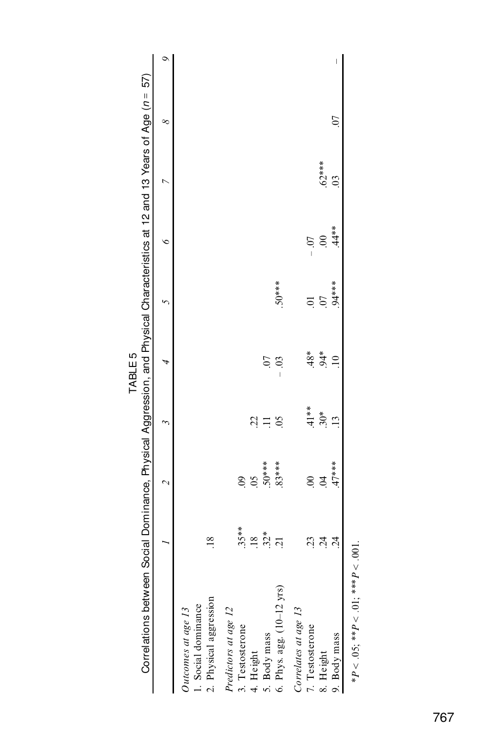| ∞<br>$.62***$<br>$\ddot{\mathcal{S}}$<br>$-0.07$<br>50***<br>$\overline{C}$<br>$\overline{a}$<br>$.48*$<br>$.94*$<br>$\overline{0}$ .<br>$-0.3$<br>$.41**$<br>$.30*$<br>22<br>$\widetilde{\mathrm{C}}$<br>$\equiv$<br>$83***$<br>$.50***$<br>0 <sub>5</sub><br>60<br>$\ddot{\circ}$<br>$\ddot{5}$<br>$.35***$<br>$.32*$<br>$\overline{18}$<br>$\ddot{c}$<br>$\overline{18}$<br>$\overline{c}$<br>$\ddot{5}$<br>6. Phys. agg. (10-12 yrs)<br>2. Physical aggression<br>1. Social dominance<br>Predictors at age 12<br>Outcomes at age 13<br>Correlates at age 13<br>7. Testosterone<br>3. Testosterone<br>5. Body mass<br>4. Height<br>8. Height |            |         |    |                 |          |      |                |  |
|-------------------------------------------------------------------------------------------------------------------------------------------------------------------------------------------------------------------------------------------------------------------------------------------------------------------------------------------------------------------------------------------------------------------------------------------------------------------------------------------------------------------------------------------------------------------------------------------------------------------------------------------------|------------|---------|----|-----------------|----------|------|----------------|--|
|                                                                                                                                                                                                                                                                                                                                                                                                                                                                                                                                                                                                                                                 |            |         |    |                 |          |      |                |  |
|                                                                                                                                                                                                                                                                                                                                                                                                                                                                                                                                                                                                                                                 |            |         |    |                 |          |      |                |  |
|                                                                                                                                                                                                                                                                                                                                                                                                                                                                                                                                                                                                                                                 |            |         |    |                 |          |      |                |  |
|                                                                                                                                                                                                                                                                                                                                                                                                                                                                                                                                                                                                                                                 |            |         |    |                 |          |      |                |  |
|                                                                                                                                                                                                                                                                                                                                                                                                                                                                                                                                                                                                                                                 |            |         |    |                 |          |      |                |  |
|                                                                                                                                                                                                                                                                                                                                                                                                                                                                                                                                                                                                                                                 |            |         |    |                 |          |      |                |  |
|                                                                                                                                                                                                                                                                                                                                                                                                                                                                                                                                                                                                                                                 |            |         |    |                 |          |      |                |  |
|                                                                                                                                                                                                                                                                                                                                                                                                                                                                                                                                                                                                                                                 |            |         |    |                 |          |      |                |  |
|                                                                                                                                                                                                                                                                                                                                                                                                                                                                                                                                                                                                                                                 |            |         |    |                 |          |      |                |  |
|                                                                                                                                                                                                                                                                                                                                                                                                                                                                                                                                                                                                                                                 |            |         |    |                 |          |      |                |  |
|                                                                                                                                                                                                                                                                                                                                                                                                                                                                                                                                                                                                                                                 |            |         |    |                 |          |      |                |  |
| $\overline{0}$<br>9. Body mass                                                                                                                                                                                                                                                                                                                                                                                                                                                                                                                                                                                                                  | $\ddot{5}$ | $47***$ | 13 | $\overline{10}$ | $.94***$ | $4*$ | $\overline{0}$ |  |

TABLE 5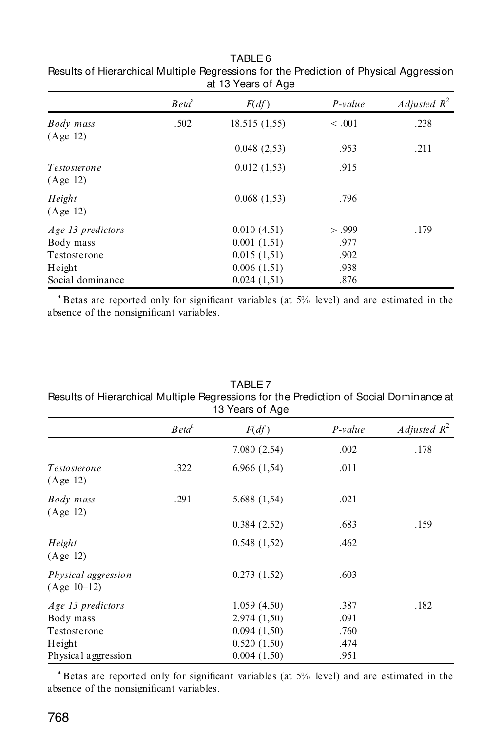|                                 | Beta <sup>a</sup> | F(df)        | $P$ -value | Adjusted $R^2$ |
|---------------------------------|-------------------|--------------|------------|----------------|
| Body mass                       | .502              | 18.515(1,55) | < 0.001    | .238           |
| (Age 12)                        |                   | 0.048(2,53)  | .953       | .211           |
| <i>Testosterone</i><br>(Age 12) |                   | 0.012(1.53)  | .915       |                |
| Height<br>(Age 12)              |                   | 0.068(1,53)  | .796       |                |
| Age 13 predictors               |                   | 0.010(4,51)  | > .999     | .179           |
| Body mass                       |                   | 0.001(1,51)  | .977       |                |
| Testosterone                    |                   | 0.015(1,51)  | .902       |                |
| Height                          |                   | 0.006(1,51)  | .938       |                |
| Social dominance                |                   | 0.024(1,51)  | .876       |                |

TABLE 6 Results of Hierarchical Multiple Regressions for the Prediction of Physical Aggression at 13 Years of Age

<sup>a</sup> Betas are reported only for significant variables (at 5% level) and are estimated in the absence of the nonsignificant variables.

|                                               |          | 13 Years of Age |           |                |
|-----------------------------------------------|----------|-----------------|-----------|----------------|
|                                               | $Beta^a$ | F(df)           | $P-value$ | Adjusted $R^2$ |
|                                               |          | 7.080(2,54)     | .002      | .178           |
| Testosterone<br>$(A \text{ge} 12)$            | .322     | 6.966(1,54)     | .011      |                |
| Body mass<br>(Age 12)                         | .291     | 5.688 (1,54)    | .021      |                |
|                                               |          | 0.384(2,52)     | .683      | .159           |
| Height<br>(Age 12)                            |          | 0.548(1.52)     | .462      |                |
| Physical aggression<br>$(A \text{ge } 10-12)$ |          | 0.273(1,52)     | .603      |                |
| Age 13 predictors                             |          | 1.059(4,50)     | .387      | .182           |
| Body mass                                     |          | 2.974(1,50)     | .091      |                |
| Testosterone                                  |          | 0.094(1,50)     | .760      |                |
| Height                                        |          | 0.520(1,50)     | .474      |                |
| Physical aggression                           |          | 0.004(1,50)     | .951      |                |

TABLE 7 Results of Hierarchical Multiple Regressions for the Prediction of Social Dominance at

 $a<sup>a</sup>$  Betas are reported only for significant variables (at 5% level) and are estimated in the absence of the nonsignificant variables.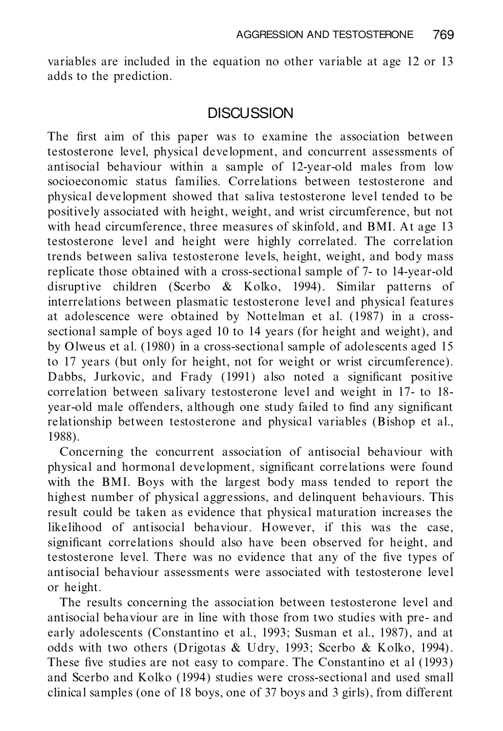variables are included in the equation no other variable at age 12 or 13 adds to the prediction.

#### DISCLISSION

The first aim of this paper was to examine the association between testosterone level, physical development, and concurrent assessments of antisocial behaviour within a sample of 12-year-old males from low socioeconomic status families. Correlations between testosterone and physical development showed that saliva testosterone level tended to be positively associated with height, weight, and wrist circumference, but not with head circumference, three measures of skinfold, and BMI. At age 13 testosterone level and height were highly correlated. The correlation trends between saliva testosterone levels, height, weight, and body mass replicate those obtained with a cross-sectional sample of 7- to 14-year-old disruptive children (Scerbo & Kolko, 1994). Similar patterns of interrelations between plasmatic testosterone level and physical features at adolescence were obtained by Nottelman et al. (1987) in a crosssectional sample of boys aged 10 to 14 years (for height and weight), and by Olweus et al. (1980) in a cross-sectional sample of adolescents aged 15 to 17 years (but only for height, not for weight or wrist circumference). Dabbs, Jurkovic, and Frady (1991) also noted a significant positive correlation between salivary testosterone level and weight in 17- to 18 year-old male offenders, although one study failed to find any significant relationship between testosterone and physical variables (Bishop et al., 1988).

Concerning the concurrent association of antisocial behaviour with physical and hormonal development, significant correlations were found with the BMI. Boys with the largest body mass tended to report the highest number of physical aggressions, and delinquent behaviours. This result could be taken as evidence that physical maturation increases the likelihood of antisocial behaviour. However, if this was the case, significant correlations should also have been observed for height, and testosterone level. There was no evidence that any of the five types of antisocial behaviour assessments were associated with testosterone level or height.

The results concerning the association between testosterone level and antisocial behaviour are in line with those from two studies with pre- and early adolescents (Constantino et al., 1993; Susman et al., 1987), and at odds with two others (Drigotas & Udry, 1993; Scerbo & Kolko, 1994). These five studies are not easy to compare. The Constantino et al (1993) and Scerbo and Kolko (1994) studies were cross-sectional and used small clinical samples (one of 18 boys, one of 37 boys and 3 girls), from different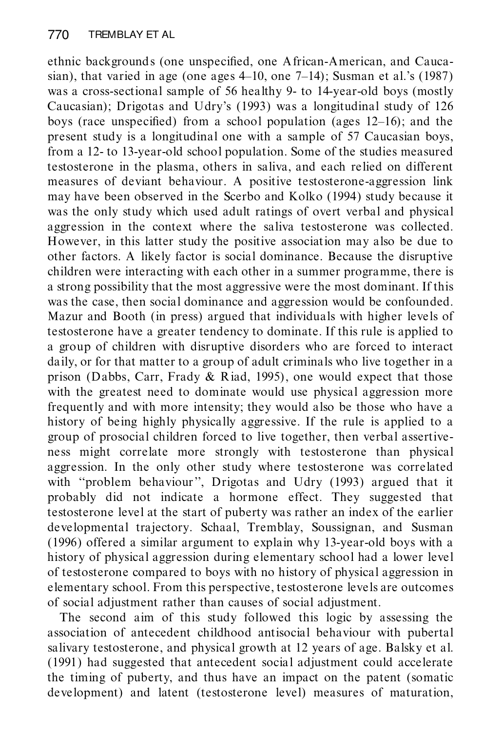ethnic backgrounds (one unspecified, one African-American, and Caucasian), that varied in age (one ages  $4-10$ , one  $7-14$ ); Susman et al.'s (1987) was a cross-sectional sample of 56 healthy 9- to 14-year-old boys (mostly Caucasian); Drigotas and Udry's (1993) was a longitudinal study of 126 boys (race unspecified) from a school population (ages  $12-16$ ); and the present study is a longitudinal one with a sample of 57 Caucasian boys, from a 12- to 13-year-old school population. Some of the studies measured testosterone in the plasma, others in saliva, and each relied on different measures of deviant behaviour. A positive testosterone-aggression link may have been observed in the Scerbo and Kolko (1994) study because it was the only study which used adult ratings of overt verbal and physical aggression in the context where the saliva testosterone was collected. However, in this latter study the positive association may also be due to other factors. A likely factor is social dominance. Because the disruptive children were interacting with each other in a summer programme, there is a strong possibility that the most aggressive were the most dominant. If this was the case, then social dominance and aggression would be confounded. Mazur and Booth (in press) argued that individuals with higher levels of testosterone have a greater tendency to dominate. If this rule is applied to a group of children with disruptive disorders who are forced to interact daily, or for that matter to a group of adult criminals who live together in a prison (Dabbs, Carr, Frady & Riad, 1995), one would expect that those with the greatest need to dominate would use physical aggression more frequently and with more intensity; they would also be those who have a history of being highly physically aggressive. If the rule is applied to a group of prosocial children forced to live together, then verbal assertive ness might correlate more strongly with testosterone than physical aggression. In the only other study where testosterone was correlated with "problem behaviour", Drigotas and Udry (1993) argued that it probably did not indicate a hormone effect. They suggested that testosterone level at the start of puberty was rather an index of the earlier developmental trajectory. Schaal, Tremblay, Soussignan, and Susman (1996) offered a similar argument to explain why 13-year-old boys with a history of physical aggression during elementary school had a lower level of testosterone compared to boys with no history of physical aggression in elementary school. From this perspective, testosterone levels are outcomes of social adjustment rather than causes of social adjustment.

The second aim of this study followed this logic by assessing the association of antecedent childhood antisocial behaviour with pubertal salivary testosterone, and physical growth at 12 years of age. Balsky et al. (1991) had suggested that antecedent social adjustment could accelerate the timing of puberty, and thus have an impact on the patent (somatic development) and latent (testosterone level) measures of maturation,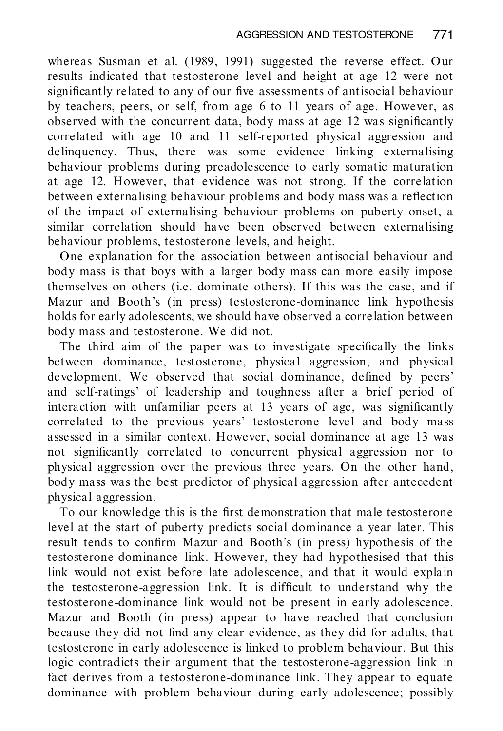whereas Susman et al. (1989, 1991) suggested the reverse effect. Our results indicated that testosterone level and height at age 12 were not significantly related to any of our five assessments of antisocial behaviour by teachers, peers, or self, from age 6 to 11 years of age. However, as observed with the concurrent data, body mass at age 12 was significantly correlated with age 10 and 11 self-reported physical aggression and delinquency. Thus, there was some evidence linking externalising behaviour problems during preadolescence to early somatic maturation at age 12. However, that evidence was not strong. If the correlation between externalising behaviour problems and body mass was a reflection of the impact of externalising behaviour problems on puberty onset, a similar correlation should have been observed between externalising behaviour problems, testosterone levels, and height.

One explanation for the association between antisocial behaviour and body mass is that boys with a larger body mass can more easily impose themselves on others (i.e. dominate others). If this was the case, and if Mazur and Booth's (in press) testosterone-dominance link hypothesis holds for early adolescents, we should have observed a correlation between body mass and testosterone. We did not.

The third aim of the paper was to investigate specifically the links between dominance, testosterone, physical aggression, and physical development. We observed that social dominance, defined by peers' and self-ratings' of leadership and toughness after a brief period of interaction with unfamiliar peers at  $13$  years of age, was significantly correlated to the previous years' testosterone level and body mass assessed in a similar context. However, social dominance at age 13 was not significantly correlated to concurrent physical aggression nor to physical aggression over the previous three years. On the other hand, body mass was the best predictor of physical aggression after antecedent physical aggression.

To our knowledge this is the first demonstration that male testosterone level at the start of puberty predicts social dominance a year later. This result tends to confirm Mazur and Booth's (in press) hypothesis of the testosterone-dominance link. However, they had hypothesised that this link would not exist before late adolescence, and that it would explain the testosterone-aggression link. It is difficult to understand why the testosterone-dominance link would not be present in early adolescence. Mazur and Booth (in press) appear to have reached that conclusion because they did not find any clear evidence, as they did for adults, that testosterone in early adolescence is linked to problem behaviour. But this logic contradicts their argument that the testosterone-aggression link in fact derives from a testosterone-dominance link. They appear to equate dominance with problem behaviour during early adolescence; possibly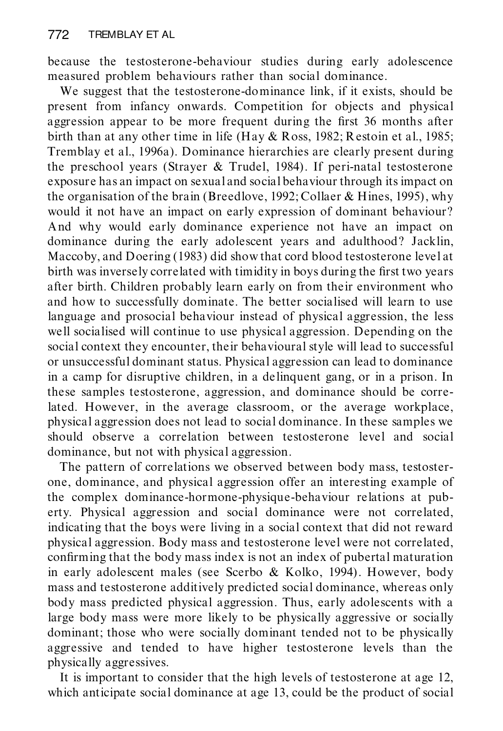because the testosterone-behaviour studies during early adolescence measured problem behaviours rather than social dominance.

We suggest that the testosterone-dominance link, if it exists, should be present from infancy onwards. Competition for objects and physical aggression appear to be more frequent during the first 36 months after birth than at any other time in life (Hay & Ross, 1982; Restoin et al., 1985; Tremblay et al., 1996a). Dominance hierarchies are clearly present during the preschool years (Strayer & Trudel, 1984). If peri-natal testosterone exposure has an impact on sexual and social behaviour through its impact on the organisation of the brain (Breedlove, 1992; Collaer & Hines, 1995), why would it not have an impact on early expression of dominant behaviour? And why would early dominance experience not have an impact on dominance during the early adolescent years and adulthood? Jacklin, Maccoby, and Doering (1983) did show that cord blood testosterone level at birth was inversely correlated with timidity in boys during the first two years after birth. Children probably learn early on from their environment who and how to successfully dominate. The better socialised will learn to use language and prosocial behaviour instead of physical aggression, the less well socialised will continue to use physical aggression. Depending on the social context they encounter, their behavioural style will lead to successful or unsuccessful dominant status. Physical aggression can lead to dominance in a camp for disruptive children, in a delinquent gang, or in a prison. In these samples testosterone, aggression, and dominance should be correlated. However, in the average classroom, or the average workplace, physical aggression does not lead to social dominance. In these samples we should observe a correlation between testosterone level and social dominance, but not with physical aggression.

The pattern of correlations we observed between body mass, testosterone, dominance, and physical aggression offer an interesting example of the complex dominance-hormone-physique-behaviour relations at pub erty. Physical aggression and social dominance were not correlated, indicating that the boys were living in a social context that did not reward physical aggression. Body mass and testosterone level were not correlated, confirming that the body mass index is not an index of pubertal maturation in early adolescent males (see Scerbo & Kolko, 1994). However, body mass and testosterone additively predicted social dominance, whereas only body mass predicted physical aggression. Thus, early adolescents with a large body mass were more likely to be physically aggressive or socially dominant; those who were socially dominant tended not to be physically aggressive and tended to have higher testosterone levels than the physically aggressives.

It is important to consider that the high levels of testosterone at age 12, which anticipate social dominance at age 13, could be the product of social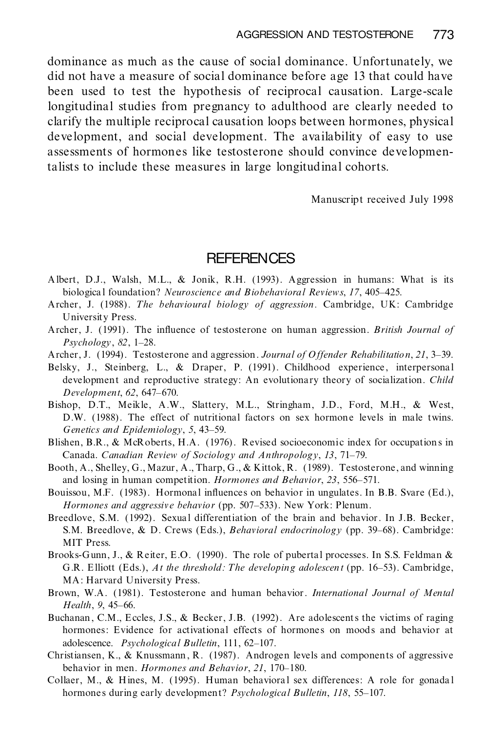dominance as much as the cause of social dominance. Unfortunately, we did not have a measure of social dominance before age 13 that could have been used to test the hypothesis of reciprocal causation. Large-scale longitudinal studies from pregnancy to adulthood are clearly needed to clarify the multiple reciprocal causation loops between hormones, physical development, and social development. The availability of easy to use assessments of hormones like testosterone should convince developmentalists to include these measures in large longitudinal cohorts.

Manuscript received July 1998

#### **REFERENCES**

- Albert, D.J., Walsh, M.L., & Jonik, R.H. (1993). Aggression in humans: What is its biologica1 foundation? *Neuroscience and Biobehavioral Reviews*, 17, 405-425.
- Archer, J. (1988). *The behavioural biology of aggression .* Cambridge, UK: Cambridge University Press.
- Archer, J. (1991). The influence of testosterone on human aggression. *British Journal of Psychology*, 82, 1–28.
- Archer, J. (1994). Testosterone and aggression . *Journal of Offender Rehabilitation*, *21*, 3±39.
- Belsky, J., Steinberg, L., & Draper, P. (1991). Childhood experience , interpersonal development and reproductive strategy: An evolutionary theory of socialization. *Child Development*, 62, 647-670.
- Bishop, D.T., Meikle, A.W., Slattery, M.L., Stringham, J.D., Ford, M.H., & West, D.W. (1988). The effect of nutritional factors on sex hormone levels in male twins. *Genetics* and *Epidemiology*, 5, 43–59.
- Blishen, B.R., & McRoberts, H.A. (1976). Revised socioeconomic index for occupations in Canada. *Canadian Review of Sociology and A nthropology*, *13*, 71±79.
- Booth, A., Shelley, G., Mazur, A., Tharp, G., & Kittok, R. (1989). Testosterone, and winning and losing in human competition. *Hormones and Behavior*, 23, 556–571.
- Bouissou, M.F. (1983). Hormonal influences on behavior in ungulates. In B.B. Svare (Ed.), *Hormones and aggressive behavior* (pp. 507–533). New York: Plenum.
- Breedlove, S.M. (1992). Sexual differentiation of the brain and behavior. In J.B. Becker, S.M. Breedlove, & D. Crews (Eds.), *Behavioral endocrinology* (pp. 39–68). Cambridge: MIT Press.
- Brooks-Gunn, J., & Reiter, E.O. (1990). The role of pubertal processes. In S.S. Feldman & G.R. Elliott (Eds.), *A t the threshold :The developing adolescent* (pp. 16±53). Cambridge, MA: Harvard University Press.
- Brown, W.A. (1981). Testosterone and human behavior. *International Journal of Mental Health*, 9, 45-66.
- Buchanan, C.M., Eccles, J.S., & Becker, J.B. (1992). Are adolescents the victims of raging hormones: Evidence for activational effects of hormones on moods and behavior at adolescence. *Psychological Bulletin*, 111, 62-107.
- Christiansen, K., & Knussmann , R. (1987). Androgen levels and componen ts of aggressive behavior in men. *Hormones and Behavior*, 21, 170-180.
- Collaer, M., & Hines, M. (1995). Human behavioral sex differences: A role for gonadal hormones during early development? *Psychological Bulletin*, 118, 55–107.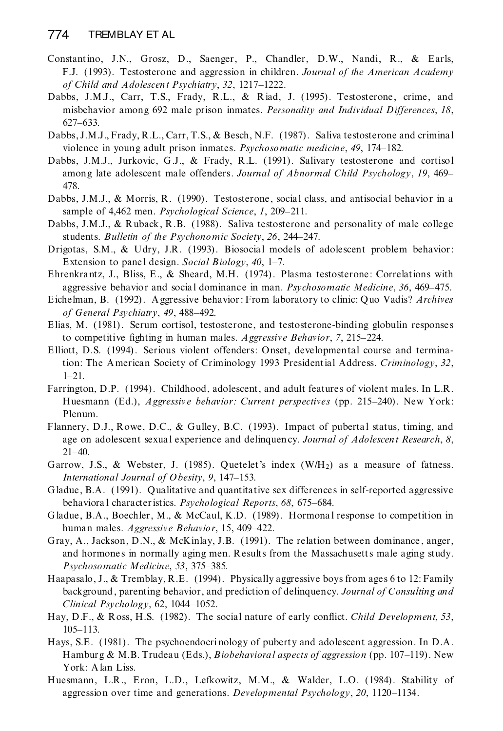- Constantino, J.N., Grosz, D., Saenger, P., Chandler, D.W., Nandi, R., & Earls, F.J. (1993). Testosterone and aggression in children. *Journal of the A merican A cademy of Child and A dolescent Psychiatry*, *32*, 1217±1222.
- Dabbs, J.M.J., Carr, T.S., Frady, R.L., & Riad, J. (1995). Testosterone , crime, and misbehavior among 692 male prison inmates. *Personality and Individual Differences*, *18*, 627±633.
- Dabbs, J.M.J., Frady, R.L., Carr, T.S., & Besch, N.F. (1987). Saliva testosterone and criminal violence in young adult prison inmates. *Psychosomatic medicine*, *49*, 174±182.
- Dabbs, J.M.J., Jurkovic, G.J., & Frady, R.L. (1991). Salivary testosterone and cortisol among late adolescent male offenders. *Journal of Abnormal Child Psychology*, 19, 469– 478.
- Dabbs, J.M.J., & Morris, R. (1990). Testosterone, social class, and antisocial behavior in a sample of 4.462 men. *Psychological Science*, 1, 209-211.
- Dabbs, J.M.J., & Ruback , R.B. (1988). Saliva testosterone and personality of male college students. *Bulletin of the Psychonomic Society*, 26, 244-247.
- Drigotas, S.M., & Udry, J.R. (1993). Biosocial models of adolescent problem behavior: Extension to panel design. *Social Biology*, 40, 1–7.
- Ehrenkra ntz, J., Bliss, E., & Sheard, M.H. (1974). Plasma testosterone: Correlations with aggressive behavior and social dominance in man. *Psychosomatic Medicine*, 36, 469–475.
- Eichelman, B. (1992). Aggressive behavior: From laboratory to clinic: Quo Vadis? *A rchives of General Psychiatry*, *49*, 488±492.
- Elias, M. (1981). Serum cortisol, testosterone, and testosterone-binding globulin responses to competitive fighting in human males. *Aggressive Behavior*, 7, 215-224.
- Elliott, D.S. (1994). Serious violent offenders: Onset, developmen tal course and termination: The American Society of Criminology 1993 Presidential Address. *Criminology*, *32*,  $1 - 21$ .
- Farrington, D.P. (1994). Childhood, adolescent, and adult features of violent males. In L.R. Huesmann (Ed.), *Aggressive behavior: Current perspectives* (pp. 215–240). New York: Plenum.
- Flannery, D.J., Rowe, D.C., & Gulley, B.C. (1993). Impact of pubertal status, timing, and age on adolescent sexua l experience and delinquen cy. *Journal of A dolescent Research*, *8*,  $21 - 40.$
- Garrow, J.S., & Webster, J. (1985). Quetelet's index  $(W/H<sub>2</sub>)$  as a measure of fatness. *International Journal of Obesity*, *9*, 147±153.
- Gladue, B.A. (1991). Qualitative and quantita tive sex differences in self-reported aggressive behavioral characteristics. *Psychological Reports*, 68, 675–684.
- Gladue, B.A., Boechler, M., & McCaul, K.D. (1989). Hormona l response to competition in human males. *Aggressive Behavior*, 15, 409-422.
- Gray, A., Jackson, D.N., & McKinlay, J.B. (1991). The relation between dominance , anger, and hormones in normally aging men. Results from the Massachusetts male aging study. *Psychosomatic Medicine*, *53*, 375±385.
- Haapasalo, J., & Tremblay, R.E. (1994). Physically aggressive boys from ages 6 to 12: Family background , parenting behavior, and prediction of delinquency. *Journal of Consulting and Clinical Psychology*, 62, 1044-1052.
- Hay, D.F., & Ross, H.S. (1982). The social nature of early conflict. *Child Development*, 53, 105±113.
- Hays, S.E. (1981). The psychoendocri nology of puberty and adolescent aggression. In D.A. Hamburg & M.B. Trudeau (Eds.), *Biobehavioral aspects of aggression* (pp. 107–119). New York: Alan Liss.
- Huesmann, L.R., Eron, L.D., Lefkowitz, M.M., & Walder, L.O. (1984). Stability of aggression over time and generations. *Developmental Psychology*, 20, 1120-1134.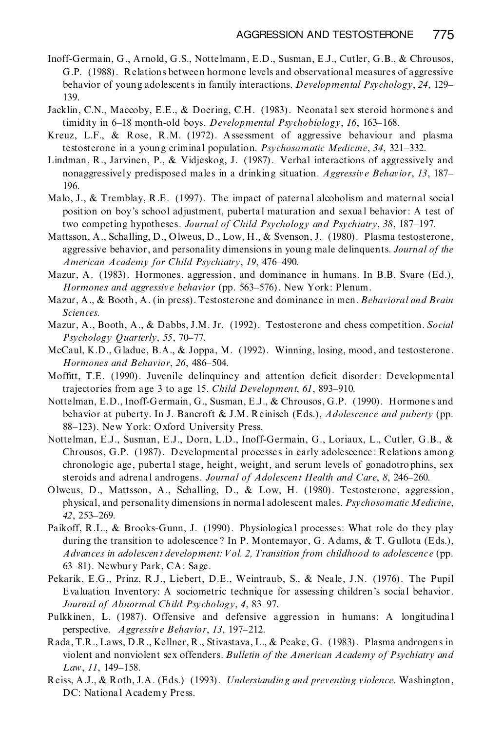- Inoff-Germain, G., Arnold, G.S., Nottelmann, E.D., Susman, E.J., Cutler, G.B., & Chrousos, G.P. (1988). Relations between hormon e levels and observation al measures of aggressive behavior of young adolescents in family interactions. *Developmental Psychology*, *24*, 129± 139.
- Jacklin, C.N., Maccoby, E.E., & Doering, C.H. (1983). Neonatal sex steroid hormones and timidity in 6-18 month-old boys. *Developmental Psychobiology*, 16, 163-168.
- Kreuz, L.F.,  $\&$  Rose, R.M. (1972). Assessment of aggressive behaviour and plasma testosterone in a young criminal population. *Psychosomatic Medicine*, 34, 321–332.
- Lindman, R., Jarvinen, P., & Vidjeskog, J. (1987). Verbal interactions of aggressively and nonaggressively predisposed males in a drinking situation. *Aggressive Behavior*, 13, 187– 196.
- Malo, J., & Tremblay, R.E. (1997). The impact of paternal alcoholism and maternal social position on boy's school adjustment, pubertal maturation and sexual behavior: A test of two competing hypotheses. *Journal of Child Psychology and Psychiatry*, 38, 187-197.
- Mattsson, A., Schalling, D., Olweus, D., Low, H., & Svenson, J. (1980). Plasma testosterone, aggressive behavior, and personality dimensions in young male delinquents. *Journal of the A merican A cademy for Child Psychiatry*, *19*, 476±490.
- Mazur, A. (1983). Hormones, aggression , and dominance in humans. In B.B. Svare (Ed.), *Hormones and aggressive behavior* (pp. 563–576). New York: Plenum.
- Mazur, A., & Booth, A. (in press). Testosterone and dominance in men. *Behavioral and Brain Sciences.*
- Mazur, A., Booth, A., & Dabbs, J.M. Jr. (1992). Testosterone and chess competition. *Social Psychology Quarterly, 55, 70-77.*
- McCaul, K.D., Gladue, B.A., & Joppa, M. (1992). Winning, losing, mood, and testosterone . *Hormones* and *Behavior*, 26, 486-504.
- Moffitt, T.E. (1990). Juvenile delinquincy and attention deficit disorder: Developmental trajectories from age 3 to age 15. *Child Development*, 61, 893–910.
- Nottelman, E.D., Inoff-Germain, G., Susman, E.J., & Chrousos, G.P. (1990). Hormone s and behavior at puberty. In J. Bancroft & J.M. Reinisch (Eds.), *A dolescence and puberty* (pp. 88-123). New York: Oxford University Press.
- Nottelman, E.J., Susman, E.J., Dorn, L.D., Inoff-Germain, G., Loriaux, L., Cutler, G.B., & Chrousos, G.P. (1987). Development al processes in early adolescence : Relations among chronologic age, pubertal stage, height, weight, and serum levels of gonadotro phins, sex steroids and adrenal androgens. *Journal of Adolescent Health and Care*, 8, 246-260.
- Olweus, D., Mattsson, A., Schalling, D., & Low, H. (1980). Testosterone, aggression , physical, and personality dimensions in norma l adolescent males. *Psychosomatic Medicine*, *42*, 253±269.
- Paikoff, R.L., & Brooks-Gunn, J. (1990). Physiologica l processes: What role do they play during the transition to adolescence ? In P. Montemayor, G. Adams, & T. Gullota (Eds.), *A dvances in adolescen t development: Vol. 2, Transition from childhood to adolescence* (pp. 63-81). Newbury Park, CA: Sage.
- Pekarik, E.G., Prinz, R.J., Liebert, D.E., Weintraub, S., & Neale, J.N. (1976). The Pupil Evaluation Inventory: A sociometric technique for assessing children's social behavior. *Journal of Abnormal Child Psychology*, 4, 83-97.
- Pulkkinen, L. (1987). Offensive and defensive aggression in humans: A longitudinal perspective. *Aggressive Behavior*, 13, 197-212.
- Rada, T.R., Laws, D.R., Kellner, R., Stivastava, L., & Peake, G. (1983). Plasma androgen s in violent and nonviolen t sex offenders. *Bulletin of the A merican A cademy of Psychiatry and L aw*, *11*, 149±158.
- Reiss, A.J., & Roth, J.A. (Eds.) (1993). *Understandin g and preventing violence.* Washington, DC: National Academy Press.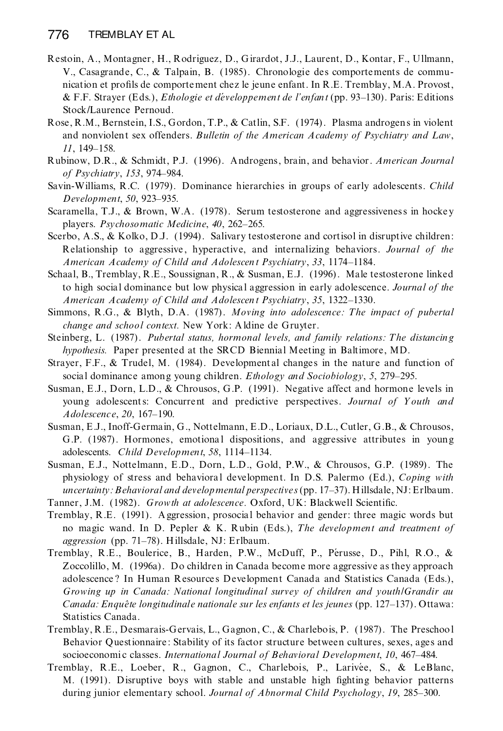- Restoin, A., Montagner, H., Rodriguez, D., Girardot, J.J., Laurent, D., Kontar, F., Ullmann, V., Casagrande, C., & Talpain, B. (1985). Chronologie des comportements de commu nication et profils de comportement chez le jeune enfant. In R.E. Tremblay, M.A. Provost, & F.F. Strayer (Eds.), *Ethologie et deÂveloppement de l'enfant* (pp. 93±130). Paris: Editions Stock/Laurence Pernoud.
- Rose, R.M., Bernstein, I.S., Gordon, T.P., & Catlin, S.F. (1974). Plasma androgens in violent and nonviolen t sex offenders. *Bulletin of the A merican A cademy of Psychiatry and L aw*, *11*, 149-158.
- Rubinow, D.R., & Schmidt, P.J. (1996). Androgens, brain, and behavior. *A merican Journal of Psychiatry*, *153*, 974±984.
- Savin-Williams, R.C. (1979). Dominance hierarchies in groups of early adolescents. *Child Development*, 50, 923-935.
- Scaramella, T.J., & Brown, W.A. (1978). Serum testosterone and aggressiveness in hocke y players. *Psychosomatic Medicine*, 40, 262–265.
- Scerbo, A.S., & Kolko, D.J. (1994). Salivary testosterone and cortisol in disruptive children: Relationship to aggressive , hyperactive, and internalizing behaviors. *Journal of the A merican A cademy of Child and A dolescen t Psychiatry*, *33*, 1174±1184.
- Schaal, B., Tremblay, R.E., Soussignan, R., & Susman, E.J. (1996). Male testosterone linked to high social dominance but low physical aggression in early adolescence. *Journal of the A merican A cademy of Child and A dolescen t Psychiatry*, *35*, 1322±1330.
- Simmons, R.G., & Blyth, D.A. (1987). *Moving into adolescence: The impact of pubertal change and school context.* New York: Aldine de Gruyter.
- Steinberg, L. (1987). *Pubertal status, hormonal levels, and family relations: T he distancing hypothesis.* Paper presented at the SRCD Biennial Meeting in Baltimore, MD.
- Strayer, F.F., & Trudel, M. (1984). Development al changes in the nature and function of social dominance among young children. *Ethology and Sociobiology*, 5, 279-295.
- Susman, E.J., Dorn, L.D., & Chrousos, G.P. (1991). Negative affect and hormone levels in young adolescents: Concurre nt and predictive perspectives. *Journal of Y outh and A dolescence*, *20*, 167±190.
- Susman, E.J., Inoff-Germain, G., Nottelmann, E.D., Loriaux, D.L., Cutler, G.B., & Chrousos, G.P. (1987). Hormones, emotional dispositions, and aggressive attributes in young adolescents. *Child Development*, 58, 1114-1134.
- Susman, E.J., Nottelmann, E.D., Dorn, L.D., Gold, P.W., & Chrousos, G.P. (1989). The physiology of stress and behaviora l developmen t.In D.S. Palermo (Ed.), *Coping with uncertainty :Behavioral and developmental perspectives*(pp. 17±37). Hillsdale, NJ: Erlbaum.
- Tanner, J.M. (1982). *Growth at adolescence*. Oxford, UK: Blackwell Scientific.
- Tremblay, R.E. (1991). Aggression, prosocial behavior and gender: three magic words but no magic wand. In D. Pepler & K.Rubin (Eds.), *The development and treatment of* aggression (pp. 71-78). Hillsdale, NJ: Erlbaum.
- Tremblay, R.E., Boulerice, B., Harden, P.W., McDuff, P., Pérusse, D., Pihl, R.O., & Zoccolillo, M. (1996a). Do children in Canada become more aggressive as they approach adolescence ? In Human Resources Development Canada and Statistics Canada (Eds.), *Growing up in Canada: National longitudinal survey of children and youth/Grandir au Canada:EnqueÃte longitudinale nationale sur les enfants et les jeunes* (pp. 127±137). Ottawa: Statistics Canada.
- Tremblay, R.E., Desmarais-Gervais, L., Gagnon, C., & Charlebois, P. (1987). The Preschool Behavior Questionnaire : Stability of its factor structure between cultures, sexes, ages and socioeconomic classes. *International Journal of Behavioral Development*, 10, 467-484.
- Tremblay, R.E., Loeber, R., Gagnon, C., Charlebois, P., Larivée, S., & LeBlanc, M. (1991). Disruptive boys with stable and unstable high fighting behavior patterns during junior elementary school. *Journal of Abnormal Child Psychology*, 19, 285-300.